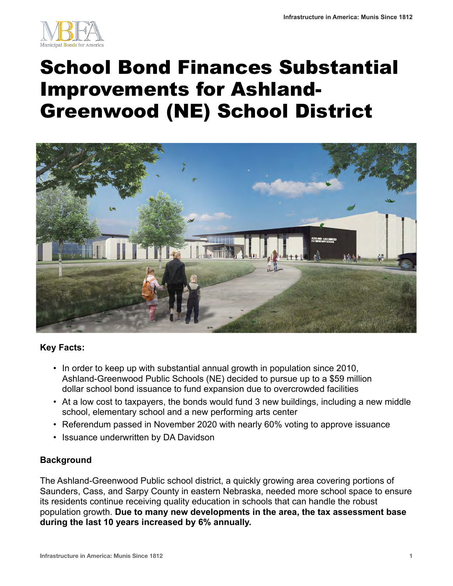

# School Bond Finances Substantial Improvements for Ashland-Greenwood (NE) School District



## **Key Facts:**

- In order to keep up with substantial annual growth in population since 2010, Ashland-Greenwood Public Schools (NE) decided to pursue up to a \$59 million dollar school bond issuance to fund expansion due to overcrowded facilities
- At a low cost to taxpayers, the bonds would fund 3 new buildings, including a new middle school, elementary school and a new performing arts center
- Referendum passed in November 2020 with nearly 60% voting to approve issuance
- Issuance underwritten by DA Davidson

#### **Background**

The Ashland-Greenwood Public school district, a quickly growing area covering portions of Saunders, Cass, and Sarpy County in eastern Nebraska, needed more school space to ensure its residents continue receiving quality education in schools that can handle the robust population growth. **Due to many new developments in the area, the tax assessment base during the last 10 years increased by 6% annually.**